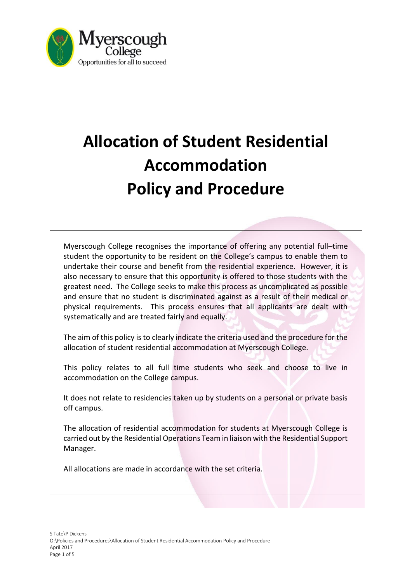

# **Allocation of Student Residential Accommodation Policy and Procedure**

Myerscough College recognises the importance of offering any potential full–time student the opportunity to be resident on the College's campus to enable them to undertake their course and benefit from the residential experience. However, it is also necessary to ensure that this opportunity is offered to those students with the greatest need. The College seeks to make this process as uncomplicated as possible and ensure that no student is discriminated against as a result of their medical or physical requirements. This process ensures that all applicants are dealt with systematically and are treated fairly and equally.

The aim of this policy is to clearly indicate the criteria used and the procedure for the allocation of student residential accommodation at Myerscough College.

This policy relates to all full time students who seek and choose to live in accommodation on the College campus.

It does not relate to residencies taken up by students on a personal or private basis off campus.

The allocation of residential accommodation for students at Myerscough College is carried out by the Residential Operations Team in liaison with the Residential Support Manager.

All allocations are made in accordance with the set criteria.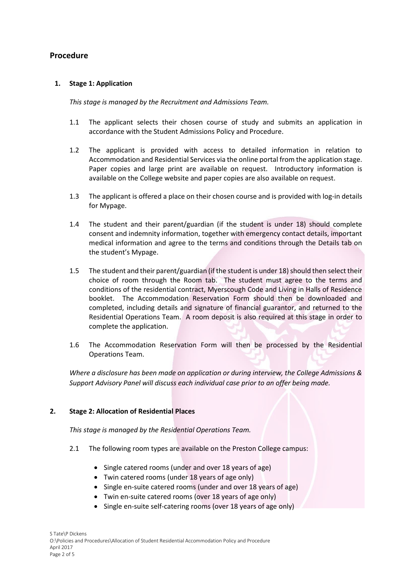## **Procedure**

## **1. Stage 1: Application**

*This stage is managed by the Recruitment and Admissions Team.*

- 1.1 The applicant selects their chosen course of study and submits an application in accordance with the Student Admissions Policy and Procedure.
- 1.2 The applicant is provided with access to detailed information in relation to Accommodation and Residential Services via the online portal from the application stage. Paper copies and large print are available on request. Introductory information is available on the College website and paper copies are also available on request.
- 1.3 The applicant is offered a place on their chosen course and is provided with log-in details for Mypage.
- 1.4 The student and their parent/guardian (if the student is under 18) should complete consent and indemnity information, together with emergency contact details, important medical information and agree to the terms and conditions through the Details tab on the student's Mypage.
- 1.5 The student and their parent/guardian (if the student is under 18) should then select their choice of room through the Room tab. The student must agree to the terms and conditions of the residential contract, Myerscough Code and Living in Halls of Residence booklet. The Accommodation Reservation Form should then be downloaded and completed, including details and signature of financial guarantor, and returned to the Residential Operations Team. A room deposit is also required at this stage in order to complete the application.
- 1.6 The Accommodation Reservation Form will then be processed by the Residential Operations Team.

*Where a disclosure has been made on application or during interview, the College Admissions & Support Advisory Panel will discuss each individual case prior to an offer being made.* 

## **2. Stage 2: Allocation of Residential Places**

*This stage is managed by the Residential Operations Team.*

- 2.1 The following room types are available on the Preston College campus:
	- Single catered rooms (under and over 18 years of age)
	- Twin catered rooms (under 18 years of age only)
	- Single en-suite catered rooms (under and over 18 years of age)
	- Twin en-suite catered rooms (over 18 years of age only)
	- Single en-suite self-catering rooms (over 18 years of age only)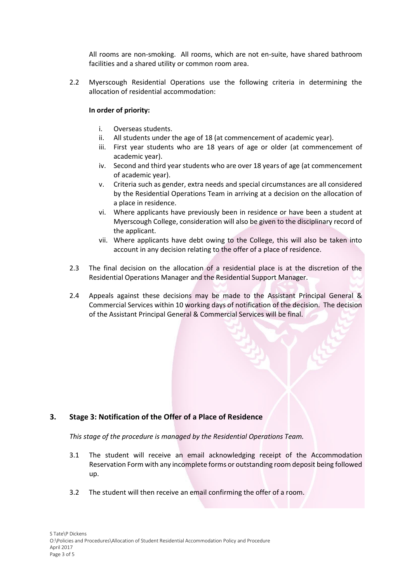All rooms are non-smoking. All rooms, which are not en-suite, have shared bathroom facilities and a shared utility or common room area.

2.2 Myerscough Residential Operations use the following criteria in determining the allocation of residential accommodation:

## **In order of priority:**

- i. Overseas students.
- ii. All students under the age of 18 (at commencement of academic year).
- iii. First year students who are 18 years of age or older (at commencement of academic year).
- iv. Second and third year students who are over 18 years of age (at commencement of academic year).
- v. Criteria such as gender, extra needs and special circumstances are all considered by the Residential Operations Team in arriving at a decision on the allocation of a place in residence.
- vi. Where applicants have previously been in residence or have been a student at Myerscough College, consideration will also be given to the disciplinary record of the applicant.
- vii. Where applicants have debt owing to the College, this will also be taken into account in any decision relating to the offer of a place of residence.
- 2.3 The final decision on the allocation of a residential place is at the discretion of the Residential Operations Manager and the Residential Support Manager.
- 2.4 Appeals against these decisions may be made to the Assistant Principal General & Commercial Services within 10 working days of notification of the decision. The decision of the Assistant Principal General & Commercial Services will be final.

## **3. Stage 3: Notification of the Offer of a Place of Residence**

*This stage of the procedure is managed by the Residential Operations Team.*

- 3.1 The student will receive an email acknowledging receipt of the Accommodation Reservation Form with any incomplete forms or outstanding room deposit being followed up.
- 3.2 The student will then receive an email confirming the offer of a room.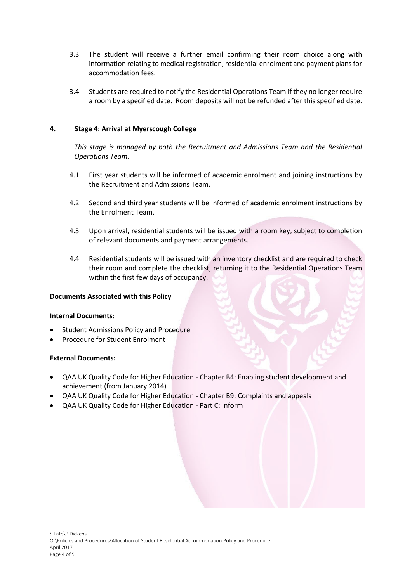- 3.3 The student will receive a further email confirming their room choice along with information relating to medical registration, residential enrolment and payment plans for accommodation fees.
- 3.4 Students are required to notify the Residential Operations Team if they no longer require a room by a specified date. Room deposits will not be refunded after this specified date.

## **4. Stage 4: Arrival at Myerscough College**

*This stage is managed by both the Recruitment and Admissions Team and the Residential Operations Team.* 

- 4.1 First year students will be informed of academic enrolment and joining instructions by the Recruitment and Admissions Team.
- 4.2 Second and third year students will be informed of academic enrolment instructions by the Enrolment Team.
- 4.3 Upon arrival, residential students will be issued with a room key, subject to completion of relevant documents and payment arrangements.
- 4.4 Residential students will be issued with an inventory checklist and are required to check their room and complete the checklist, returning it to the Residential Operations Team within the first few days of occupancy.

## **Documents Associated with this Policy**

## **Internal Documents:**

- Student Admissions Policy and Procedure
- Procedure for Student Enrolment

## **External Documents:**

- QAA UK Quality Code for Higher Education Chapter B4: Enabling student development and achievement (from January 2014)
- QAA UK Quality Code for Higher Education Chapter B9: Complaints and appeals
- QAA UK Quality Code for Higher Education Part C: Inform